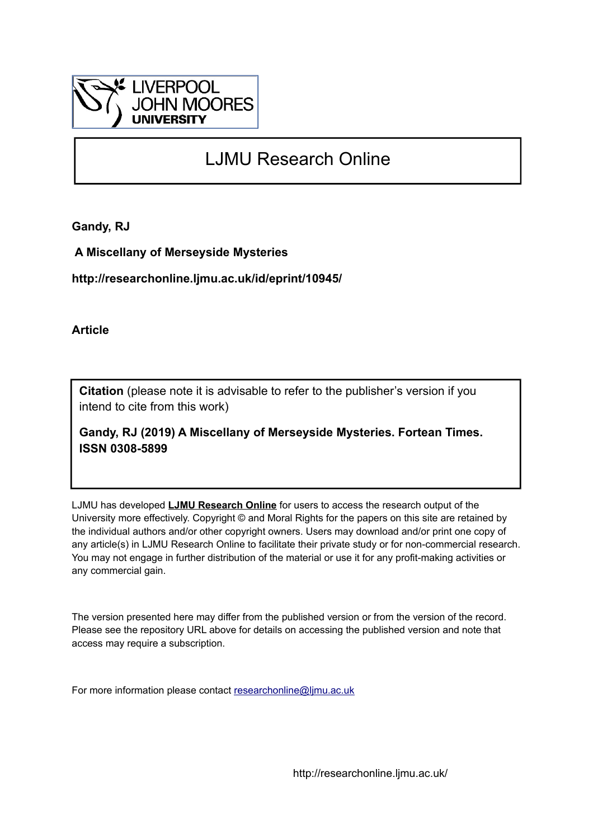

# LJMU Research Online

**Gandy, RJ**

 **A Miscellany of Merseyside Mysteries**

**http://researchonline.ljmu.ac.uk/id/eprint/10945/**

**Article**

**Citation** (please note it is advisable to refer to the publisher's version if you intend to cite from this work)

**Gandy, RJ (2019) A Miscellany of Merseyside Mysteries. Fortean Times. ISSN 0308-5899** 

LJMU has developed **[LJMU Research Online](http://researchonline.ljmu.ac.uk/)** for users to access the research output of the University more effectively. Copyright © and Moral Rights for the papers on this site are retained by the individual authors and/or other copyright owners. Users may download and/or print one copy of any article(s) in LJMU Research Online to facilitate their private study or for non-commercial research. You may not engage in further distribution of the material or use it for any profit-making activities or any commercial gain.

The version presented here may differ from the published version or from the version of the record. Please see the repository URL above for details on accessing the published version and note that access may require a subscription.

For more information please contact [researchonline@ljmu.ac.uk](mailto:researchonline@ljmu.ac.uk)

http://researchonline.ljmu.ac.uk/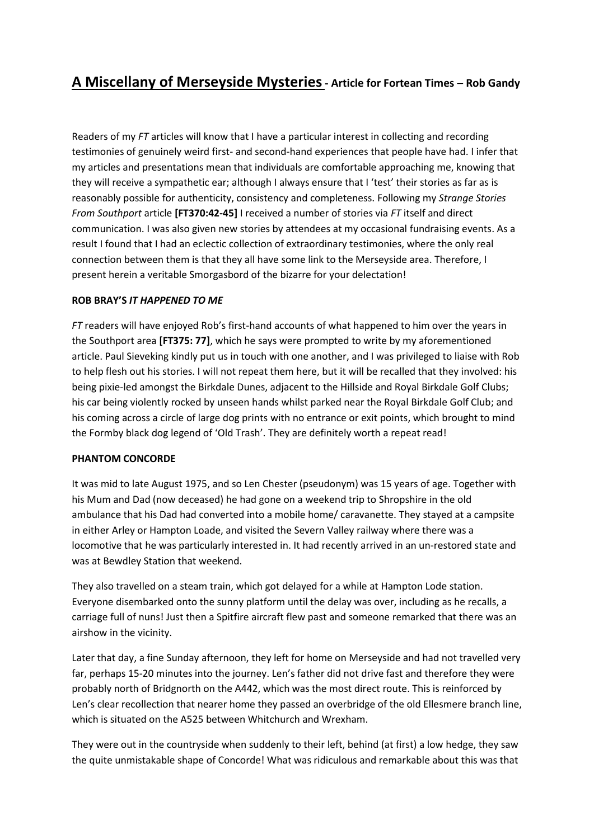# **A Miscellany of Merseyside Mysteries- Article for Fortean Times – Rob Gandy**

Readers of my *FT* articles will know that I have a particular interest in collecting and recording testimonies of genuinely weird first- and second-hand experiences that people have had. I infer that my articles and presentations mean that individuals are comfortable approaching me, knowing that they will receive a sympathetic ear; although I always ensure that I 'test' their stories as far as is reasonably possible for authenticity, consistency and completeness. Following my *Strange Stories From Southport* article **[FT370:42-45]** I received a number of stories via *FT* itself and direct communication. I was also given new stories by attendees at my occasional fundraising events. As a result I found that I had an eclectic collection of extraordinary testimonies, where the only real connection between them is that they all have some link to the Merseyside area. Therefore, I present herein a veritable Smorgasbord of the bizarre for your delectation!

#### **ROB BRAY'S** *IT HAPPENED TO ME*

*FT* readers will have enjoyed Rob's first-hand accounts of what happened to him over the years in the Southport area **[FT375: 77]**, which he says were prompted to write by my aforementioned article. Paul Sieveking kindly put us in touch with one another, and I was privileged to liaise with Rob to help flesh out his stories. I will not repeat them here, but it will be recalled that they involved: his being pixie-led amongst the Birkdale Dunes, adjacent to the Hillside and Royal Birkdale Golf Clubs; his car being violently rocked by unseen hands whilst parked near the Royal Birkdale Golf Club; and his coming across a circle of large dog prints with no entrance or exit points, which brought to mind the Formby black dog legend of 'Old Trash'. They are definitely worth a repeat read!

#### **PHANTOM CONCORDE**

It was mid to late August 1975, and so Len Chester (pseudonym) was 15 years of age. Together with his Mum and Dad (now deceased) he had gone on a weekend trip to Shropshire in the old ambulance that his Dad had converted into a mobile home/ caravanette. They stayed at a campsite in either Arley or Hampton Loade, and visited the Severn Valley railway where there was a locomotive that he was particularly interested in. It had recently arrived in an un-restored state and was at Bewdley Station that weekend.

They also travelled on a steam train, which got delayed for a while at Hampton Lode station. Everyone disembarked onto the sunny platform until the delay was over, including as he recalls, a carriage full of nuns! Just then a Spitfire aircraft flew past and someone remarked that there was an airshow in the vicinity.

Later that day, a fine Sunday afternoon, they left for home on Merseyside and had not travelled very far, perhaps 15-20 minutes into the journey. Len's father did not drive fast and therefore they were probably north of Bridgnorth on the A442, which was the most direct route. This is reinforced by Len's clear recollection that nearer home they passed an overbridge of the old Ellesmere branch line, which is situated on the A525 between Whitchurch and Wrexham.

They were out in the countryside when suddenly to their left, behind (at first) a low hedge, they saw the quite unmistakable shape of Concorde! What was ridiculous and remarkable about this was that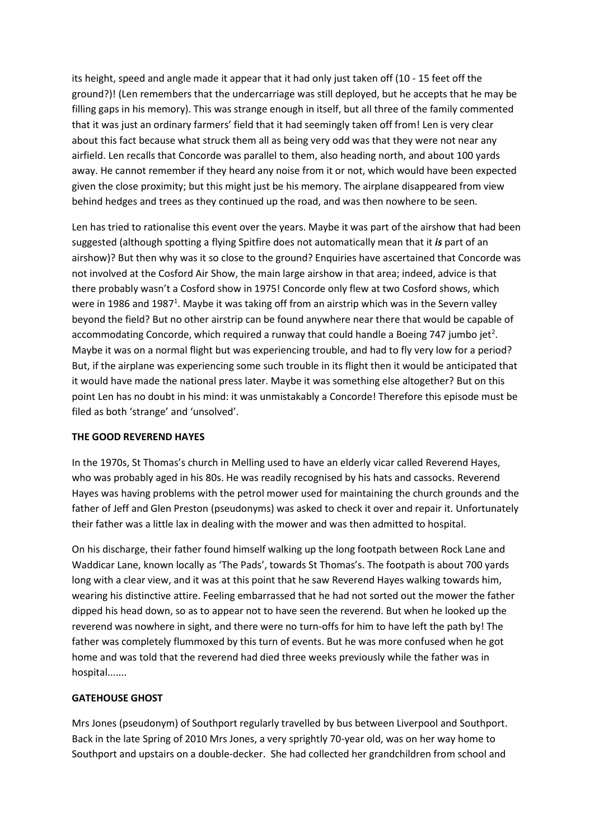its height, speed and angle made it appear that it had only just taken off (10 - 15 feet off the ground?)! (Len remembers that the undercarriage was still deployed, but he accepts that he may be filling gaps in his memory). This was strange enough in itself, but all three of the family commented that it was just an ordinary farmers' field that it had seemingly taken off from! Len is very clear about this fact because what struck them all as being very odd was that they were not near any airfield. Len recalls that Concorde was parallel to them, also heading north, and about 100 yards away. He cannot remember if they heard any noise from it or not, which would have been expected given the close proximity; but this might just be his memory. The airplane disappeared from view behind hedges and trees as they continued up the road, and was then nowhere to be seen.

Len has tried to rationalise this event over the years. Maybe it was part of the airshow that had been suggested (although spotting a flying Spitfire does not automatically mean that it *is* part of an airshow)? But then why was it so close to the ground? Enquiries have ascertained that Concorde was not involved at the Cosford Air Show, the main large airshow in that area; indeed, advice is that there probably wasn't a Cosford show in 1975! Concorde only flew at two Cosford shows, which were in 1986 and 1987<sup>1</sup>. Maybe it was taking off from an airstrip which was in the Severn valley beyond the field? But no other airstrip can be found anywhere near there that would be capable of accommodating Concorde, which required a runway that could handle a Boeing 747 jumbo jet<sup>2</sup>. Maybe it was on a normal flight but was experiencing trouble, and had to fly very low for a period? But, if the airplane was experiencing some such trouble in its flight then it would be anticipated that it would have made the national press later. Maybe it was something else altogether? But on this point Len has no doubt in his mind: it was unmistakably a Concorde! Therefore this episode must be filed as both 'strange' and 'unsolved'.

#### **THE GOOD REVEREND HAYES**

In the 1970s, St Thomas's church in Melling used to have an elderly vicar called Reverend Hayes, who was probably aged in his 80s. He was readily recognised by his hats and cassocks. Reverend Hayes was having problems with the petrol mower used for maintaining the church grounds and the father of Jeff and Glen Preston (pseudonyms) was asked to check it over and repair it. Unfortunately their father was a little lax in dealing with the mower and was then admitted to hospital.

On his discharge, their father found himself walking up the long footpath between Rock Lane and Waddicar Lane, known locally as 'The Pads', towards St Thomas's. The footpath is about 700 yards long with a clear view, and it was at this point that he saw Reverend Hayes walking towards him, wearing his distinctive attire. Feeling embarrassed that he had not sorted out the mower the father dipped his head down, so as to appear not to have seen the reverend. But when he looked up the reverend was nowhere in sight, and there were no turn-offs for him to have left the path by! The father was completely flummoxed by this turn of events. But he was more confused when he got home and was told that the reverend had died three weeks previously while the father was in hospital.......

### **GATEHOUSE GHOST**

Mrs Jones (pseudonym) of Southport regularly travelled by bus between Liverpool and Southport. Back in the late Spring of 2010 Mrs Jones, a very sprightly 70-year old, was on her way home to Southport and upstairs on a double-decker. She had collected her grandchildren from school and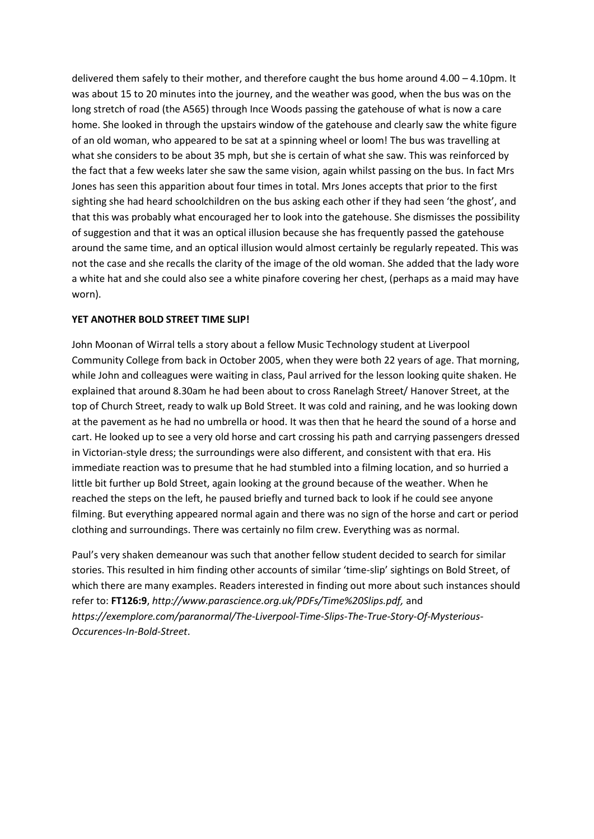delivered them safely to their mother, and therefore caught the bus home around 4.00 – 4.10pm. It was about 15 to 20 minutes into the journey, and the weather was good, when the bus was on the long stretch of road (the A565) through Ince Woods passing the gatehouse of what is now a care home. She looked in through the upstairs window of the gatehouse and clearly saw the white figure of an old woman, who appeared to be sat at a spinning wheel or loom! The bus was travelling at what she considers to be about 35 mph, but she is certain of what she saw. This was reinforced by the fact that a few weeks later she saw the same vision, again whilst passing on the bus. In fact Mrs Jones has seen this apparition about four times in total. Mrs Jones accepts that prior to the first sighting she had heard schoolchildren on the bus asking each other if they had seen 'the ghost', and that this was probably what encouraged her to look into the gatehouse. She dismisses the possibility of suggestion and that it was an optical illusion because she has frequently passed the gatehouse around the same time, and an optical illusion would almost certainly be regularly repeated. This was not the case and she recalls the clarity of the image of the old woman. She added that the lady wore a white hat and she could also see a white pinafore covering her chest, (perhaps as a maid may have worn).

#### **YET ANOTHER BOLD STREET TIME SLIP!**

John Moonan of Wirral tells a story about a fellow Music Technology student at Liverpool Community College from back in October 2005, when they were both 22 years of age. That morning, while John and colleagues were waiting in class, Paul arrived for the lesson looking quite shaken. He explained that around 8.30am he had been about to cross Ranelagh Street/ Hanover Street, at the top of Church Street, ready to walk up Bold Street. It was cold and raining, and he was looking down at the pavement as he had no umbrella or hood. It was then that he heard the sound of a horse and cart. He looked up to see a very old horse and cart crossing his path and carrying passengers dressed in Victorian-style dress; the surroundings were also different, and consistent with that era. His immediate reaction was to presume that he had stumbled into a filming location, and so hurried a little bit further up Bold Street, again looking at the ground because of the weather. When he reached the steps on the left, he paused briefly and turned back to look if he could see anyone filming. But everything appeared normal again and there was no sign of the horse and cart or period clothing and surroundings. There was certainly no film crew. Everything was as normal.

Paul's very shaken demeanour was such that another fellow student decided to search for similar stories. This resulted in him finding other accounts of similar 'time-slip' sightings on Bold Street, of which there are many examples. Readers interested in finding out more about such instances should refer to: **FT126:9**, *[http://www.parascience.org.uk/PDFs/Time%20Slips.pdf,](http://www.parascience.org.uk/PDFs/Time%20Slips.pdf)* and *[https://exemplore.com/paranormal/The-Liverpool-Time-Slips-The-True-Story-Of-Mysterious-](https://exemplore.com/paranormal/The-Liverpool-Time-Slips-The-True-Story-Of-Mysterious-Occurences-In-Bold-Street)[Occurences-In-Bold-Street](https://exemplore.com/paranormal/The-Liverpool-Time-Slips-The-True-Story-Of-Mysterious-Occurences-In-Bold-Street)*.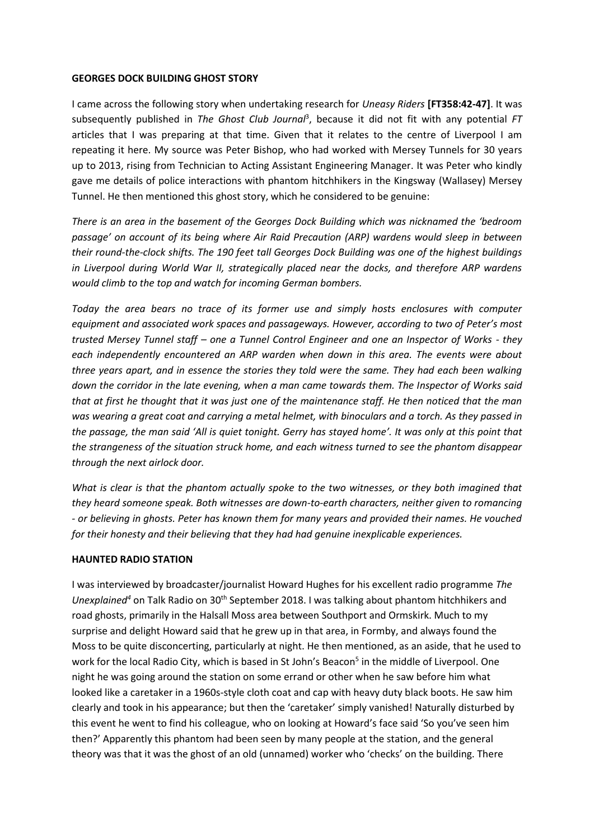#### **GEORGES DOCK BUILDING GHOST STORY**

I came across the following story when undertaking research for *Uneasy Riders* **[FT358:42-47]**. It was subsequently published in *The Ghost Club Journal* 3 , because it did not fit with any potential *FT*  articles that I was preparing at that time. Given that it relates to the centre of Liverpool I am repeating it here. My source was Peter Bishop, who had worked with Mersey Tunnels for 30 years up to 2013, rising from Technician to Acting Assistant Engineering Manager. It was Peter who kindly gave me details of police interactions with phantom hitchhikers in the Kingsway (Wallasey) Mersey Tunnel. He then mentioned this ghost story, which he considered to be genuine:

*There is an area in the basement of the Georges Dock Building which was nicknamed the 'bedroom passage' on account of its being where Air Raid Precaution (ARP) wardens would sleep in between their round-the-clock shifts. The 190 feet tall Georges Dock Building was one of the highest buildings in Liverpool during World War II, strategically placed near the docks, and therefore ARP wardens would climb to the top and watch for incoming German bombers.* 

*Today the area bears no trace of its former use and simply hosts enclosures with computer equipment and associated work spaces and passageways. However, according to two of Peter's most trusted Mersey Tunnel staff – one a Tunnel Control Engineer and one an Inspector of Works - they each independently encountered an ARP warden when down in this area. The events were about three years apart, and in essence the stories they told were the same. They had each been walking down the corridor in the late evening, when a man came towards them. The Inspector of Works said that at first he thought that it was just one of the maintenance staff. He then noticed that the man was wearing a great coat and carrying a metal helmet, with binoculars and a torch. As they passed in the passage, the man said 'All is quiet tonight. Gerry has stayed home'. It was only at this point that the strangeness of the situation struck home, and each witness turned to see the phantom disappear through the next airlock door.*

*What is clear is that the phantom actually spoke to the two witnesses, or they both imagined that they heard someone speak. Both witnesses are down-to-earth characters, neither given to romancing - or believing in ghosts. Peter has known them for many years and provided their names. He vouched for their honesty and their believing that they had had genuine inexplicable experiences.*

#### **HAUNTED RADIO STATION**

I was interviewed by broadcaster/journalist Howard Hughes for his excellent radio programme *The Unexplained<sup>4</sup>* on Talk Radio on 30<sup>th</sup> September 2018. I was talking about phantom hitchhikers and road ghosts, primarily in the Halsall Moss area between Southport and Ormskirk. Much to my surprise and delight Howard said that he grew up in that area, in Formby, and always found the Moss to be quite disconcerting, particularly at night. He then mentioned, as an aside, that he used to work for the local Radio City, which is based in St John's Beacon<sup>5</sup> in the middle of Liverpool. One night he was going around the station on some errand or other when he saw before him what looked like a caretaker in a 1960s-style cloth coat and cap with heavy duty black boots. He saw him clearly and took in his appearance; but then the 'caretaker' simply vanished! Naturally disturbed by this event he went to find his colleague, who on looking at Howard's face said 'So you've seen him then?' Apparently this phantom had been seen by many people at the station, and the general theory was that it was the ghost of an old (unnamed) worker who 'checks' on the building. There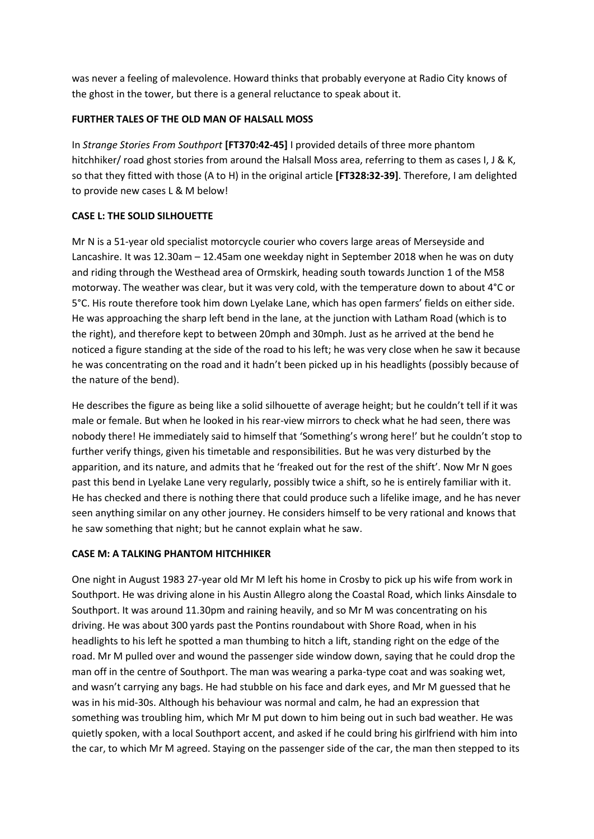was never a feeling of malevolence. Howard thinks that probably everyone at Radio City knows of the ghost in the tower, but there is a general reluctance to speak about it.

## **FURTHER TALES OF THE OLD MAN OF HALSALL MOSS**

In *Strange Stories From Southport* **[FT370:42-45]** I provided details of three more phantom hitchhiker/ road ghost stories from around the Halsall Moss area, referring to them as cases I, J & K, so that they fitted with those (A to H) in the original article **[FT328:32-39]**. Therefore, I am delighted to provide new cases L & M below!

# **CASE L: THE SOLID SILHOUETTE**

Mr N is a 51-year old specialist motorcycle courier who covers large areas of Merseyside and Lancashire. It was 12.30am – 12.45am one weekday night in September 2018 when he was on duty and riding through the Westhead area of Ormskirk, heading south towards Junction 1 of the M58 motorway. The weather was clear, but it was very cold, with the temperature down to about 4°C or 5°C. His route therefore took him down Lyelake Lane, which has open farmers' fields on either side. He was approaching the sharp left bend in the lane, at the junction with Latham Road (which is to the right), and therefore kept to between 20mph and 30mph. Just as he arrived at the bend he noticed a figure standing at the side of the road to his left; he was very close when he saw it because he was concentrating on the road and it hadn't been picked up in his headlights (possibly because of the nature of the bend).

He describes the figure as being like a solid silhouette of average height; but he couldn't tell if it was male or female. But when he looked in his rear-view mirrors to check what he had seen, there was nobody there! He immediately said to himself that 'Something's wrong here!' but he couldn't stop to further verify things, given his timetable and responsibilities. But he was very disturbed by the apparition, and its nature, and admits that he 'freaked out for the rest of the shift'. Now Mr N goes past this bend in Lyelake Lane very regularly, possibly twice a shift, so he is entirely familiar with it. He has checked and there is nothing there that could produce such a lifelike image, and he has never seen anything similar on any other journey. He considers himself to be very rational and knows that he saw something that night; but he cannot explain what he saw.

# **CASE M: A TALKING PHANTOM HITCHHIKER**

One night in August 1983 27-year old Mr M left his home in Crosby to pick up his wife from work in Southport. He was driving alone in his Austin Allegro along the Coastal Road, which links Ainsdale to Southport. It was around 11.30pm and raining heavily, and so Mr M was concentrating on his driving. He was about 300 yards past the Pontins roundabout with Shore Road, when in his headlights to his left he spotted a man thumbing to hitch a lift, standing right on the edge of the road. Mr M pulled over and wound the passenger side window down, saying that he could drop the man off in the centre of Southport. The man was wearing a parka-type coat and was soaking wet, and wasn't carrying any bags. He had stubble on his face and dark eyes, and Mr M guessed that he was in his mid-30s. Although his behaviour was normal and calm, he had an expression that something was troubling him, which Mr M put down to him being out in such bad weather. He was quietly spoken, with a local Southport accent, and asked if he could bring his girlfriend with him into the car, to which Mr M agreed. Staying on the passenger side of the car, the man then stepped to its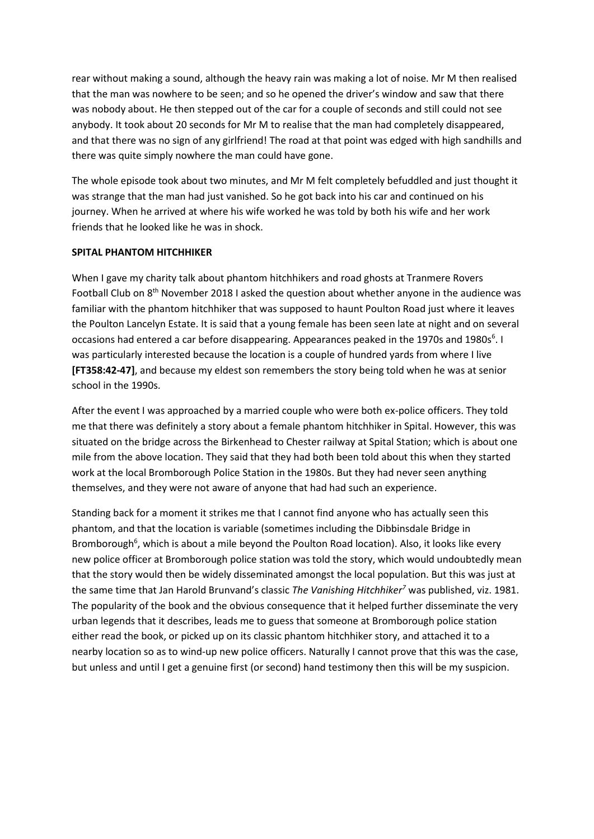rear without making a sound, although the heavy rain was making a lot of noise. Mr M then realised that the man was nowhere to be seen; and so he opened the driver's window and saw that there was nobody about. He then stepped out of the car for a couple of seconds and still could not see anybody. It took about 20 seconds for Mr M to realise that the man had completely disappeared, and that there was no sign of any girlfriend! The road at that point was edged with high sandhills and there was quite simply nowhere the man could have gone.

The whole episode took about two minutes, and Mr M felt completely befuddled and just thought it was strange that the man had just vanished. So he got back into his car and continued on his journey. When he arrived at where his wife worked he was told by both his wife and her work friends that he looked like he was in shock.

#### **SPITAL PHANTOM HITCHHIKER**

When I gave my charity talk about phantom hitchhikers and road ghosts at Tranmere Rovers Football Club on 8th November 2018 I asked the question about whether anyone in the audience was familiar with the phantom hitchhiker that was supposed to haunt Poulton Road just where it leaves the Poulton Lancelyn Estate. It is said that a young female has been seen late at night and on several occasions had entered a car before disappearing. Appearances peaked in the 1970s and 1980s<sup>6</sup>. I was particularly interested because the location is a couple of hundred yards from where I live **[FT358:42-47]**, and because my eldest son remembers the story being told when he was at senior school in the 1990s.

After the event I was approached by a married couple who were both ex-police officers. They told me that there was definitely a story about a female phantom hitchhiker in Spital. However, this was situated on the bridge across the Birkenhead to Chester railway at Spital Station; which is about one mile from the above location. They said that they had both been told about this when they started work at the local Bromborough Police Station in the 1980s. But they had never seen anything themselves, and they were not aware of anyone that had had such an experience.

Standing back for a moment it strikes me that I cannot find anyone who has actually seen this phantom, and that the location is variable (sometimes including the Dibbinsdale Bridge in Bromborough<sup>6</sup>, which is about a mile beyond the Poulton Road location). Also, it looks like every new police officer at Bromborough police station was told the story, which would undoubtedly mean that the story would then be widely disseminated amongst the local population. But this was just at the same time that Jan Harold Brunvand's classic *The Vanishing Hitchhiker<sup>7</sup>* was published, viz. 1981. The popularity of the book and the obvious consequence that it helped further disseminate the very urban legends that it describes, leads me to guess that someone at Bromborough police station either read the book, or picked up on its classic phantom hitchhiker story, and attached it to a nearby location so as to wind-up new police officers. Naturally I cannot prove that this was the case, but unless and until I get a genuine first (or second) hand testimony then this will be my suspicion.